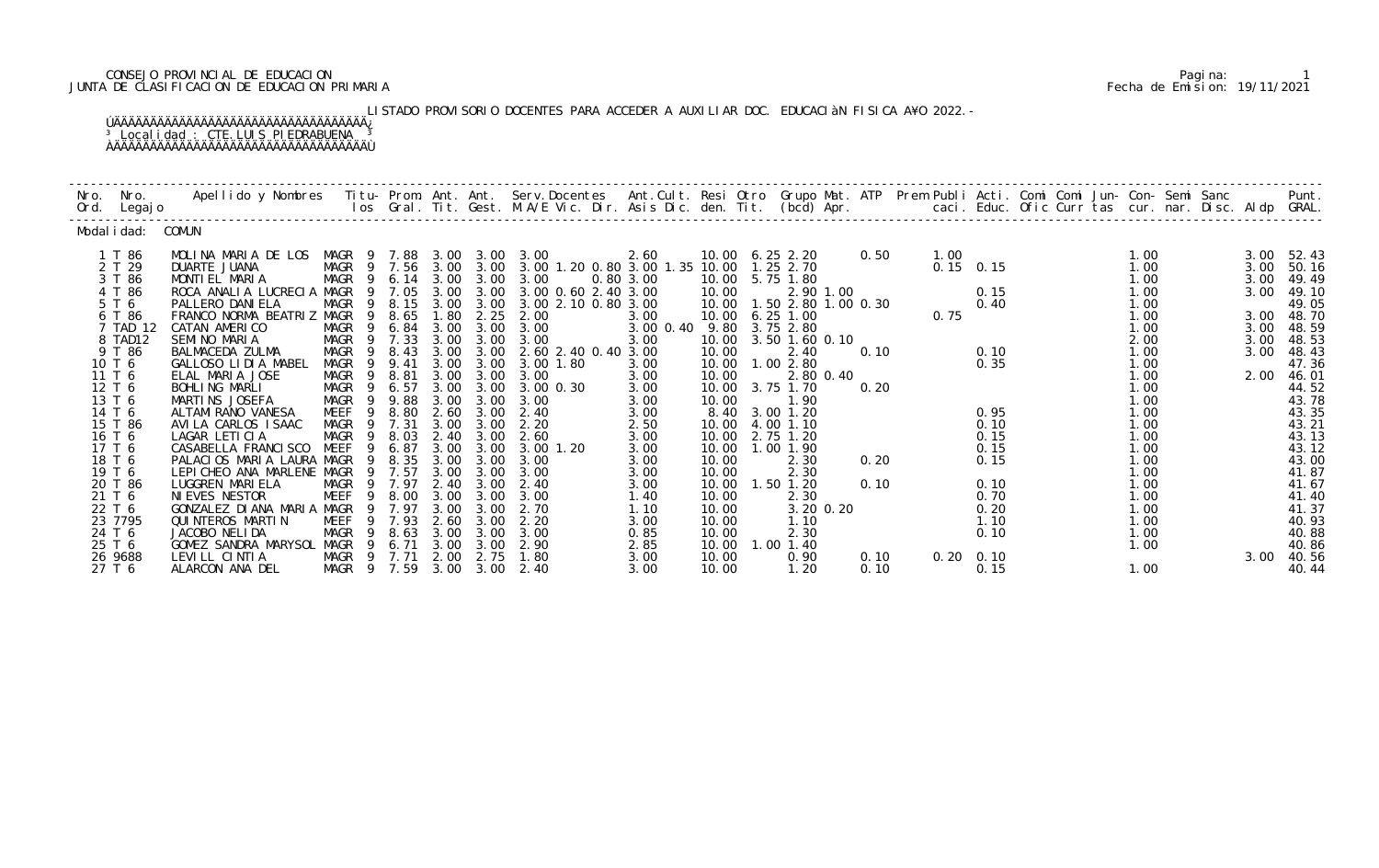## CONSEJO PROVINCIAL DE EDUCACION Pagina: 1 JUNTA DE CLASIFICACION DE EDUCACION PRIMARIA Fecha de Emision: 19/11/2021

LISTADO PROVISORIO DOCENTES PARA ACCEDER A AUXILIAR DOC. EDUCACIàN FISICA A¥O 2022.-

| Nro.<br>Ord. | Nro.<br>Legaj o   | Apellido y Nombres - Titu- Prom. Ant. Ant. Serv.Docentes - Ant.Cult. Resi Otro Grupo Mat. ATP - Prem Publi Acti. Comi Comi Jun- Con- Semi Sanc - Sanc - Semi Sanc - Semi Sanc - Semi Sanc - Semi Sanc - Semi Sanc - Semi Sanc |                          |              |              |              |                                                    |              |                |                                           |           |      |      |                   | caci. Educ. Ofic Curr tas cur. nar. Disc. Aldp GRAL. |              |              | Punt.          |
|--------------|-------------------|-------------------------------------------------------------------------------------------------------------------------------------------------------------------------------------------------------------------------------|--------------------------|--------------|--------------|--------------|----------------------------------------------------|--------------|----------------|-------------------------------------------|-----------|------|------|-------------------|------------------------------------------------------|--------------|--------------|----------------|
|              | Modal i dad:      | COMUN                                                                                                                                                                                                                         |                          |              |              |              |                                                    |              |                |                                           |           |      |      |                   |                                                      |              |              |                |
|              | 1 T 86            | MOLINA MARIA DE LOS                                                                                                                                                                                                           | MAGR 9                   | 7.88         |              |              | 3.00 3.00 3.00                                     | 2.60         |                | 10.00 6.25 2.20                           |           | 0.50 | 1.00 |                   |                                                      | 1.00         | 3.00         | 52.43          |
|              | 2 T 29            | DUARTE JUANA                                                                                                                                                                                                                  | MAGR 9 7.56              |              |              |              | 3.00 3.00 3.00 1.20 0.80 3.00 1.35 10.00 1.25 2.70 |              |                |                                           |           |      |      | $0.15$ 0.15       |                                                      | 1.00         | 3.00         | 50.16          |
|              | 3 T 86<br>4 T 86  | MONTIEL MARIA<br>ROCA ANALIA LUCRECIA                                                                                                                                                                                         | MAGR<br>-9<br>MAGR       | 6.14<br>7.05 | 3.00<br>3.00 | 3.00<br>3.00 | 3.00<br>3.00 0.60 2.40 3.00                        | 0.80 3.00    | 10.00          | 10.00 5.75 1.80<br>2.90 1.00              |           |      |      | 0.15              |                                                      | 1.00<br>1.00 | 3.00<br>3.00 | 49.49<br>49.10 |
|              | 5 T 6             | PALLERO DANI ELA                                                                                                                                                                                                              | MAGR<br>-9               | 8.15         | 3.00         | 3.00         | 3.00 2.10 0.80 3.00                                |              |                | 10.00  1.50  2.80  1.00  0.30             |           |      |      | 0.40              |                                                      | 1.00         |              | 49.05          |
|              | 6 T 86            | FRANCO NORMA BEATRIZ MAGR                                                                                                                                                                                                     | -9                       | 8.65         | 1.80         | 2.25         | 2.00                                               | 3.00         |                | 10.00   6.25   1.00<br>9.80   3.75   2.80 |           |      | 0.75 |                   |                                                      | 1.00         |              | 3.00 48.70     |
|              | 7 TAD 12          | CATAN AMERICO                                                                                                                                                                                                                 | <b>MAGR</b><br>9         | 6.84         | 3.00         | 3.00         | 3.00                                               | 3.00 0.40    |                |                                           |           |      |      |                   |                                                      | 1.00         | 3.00         | 48.59          |
|              | 8 TAD12           | SEMINO MARIA                                                                                                                                                                                                                  | MAGR                     | 7.33         | 3.00         | 3.00         | 3.00                                               | 3.00         | 10.00          | 3.50 1.60 0.10                            |           |      |      |                   |                                                      | 2.00         | 3.00         | 48.53          |
|              | 9 T 86<br>10 T 6  | BALMACEDA ZULMA<br>GALLOSO LIDIA MABEL                                                                                                                                                                                        | MAGR<br><b>MAGR</b><br>9 | 8.43<br>9.41 | 3.00<br>3.00 | 3.00<br>3.00 | 2.60 2.40 0.40 3.00<br>3.00 1.80                   | 3.00         | 10.00<br>10.00 | 2.40<br>1.00 2.80                         |           | 0.10 |      | 0.10<br>0.35      |                                                      | 1.00<br>1.00 | 3.00         | 48.43<br>47.36 |
|              | 11 T 6            | ELAL MARIA JOSE                                                                                                                                                                                                               | MAGR<br>- 9              | 8.81         | 3.00         | 3.00         | 3.00                                               | 3.00         | 10.00          |                                           | 2.80 0.40 |      |      |                   |                                                      | 1.00         | 2.00         | 46.01          |
|              | 12 T 6            | BOHLING MARLI                                                                                                                                                                                                                 | MAGR                     | 6.57         | 3.00         | 3.00         | $3.00 \, 0.30$                                     | 3.00         | 10.00          | 3.75 1.70                                 |           | 0.20 |      |                   |                                                      | 1.00         |              | 44.52          |
|              | 13 T 6            | MARTINS JOSEFA                                                                                                                                                                                                                | MAGR<br>9                | 9.88         | 3.00         | 3.00         | 3.00                                               | 3.00         | 10.00          | 1.90                                      |           |      |      |                   |                                                      | 1.00         |              | 43.78          |
|              | 14 T 6            | ALTAMI RANO VANESA                                                                                                                                                                                                            | MEEF<br>9                | 8.80         | 2.60         | 3.00         | 2.40                                               | 3.00         | 8.40           | $3.00$ 1.20                               |           |      |      | 0.95              |                                                      | 1.00         |              | 43.35          |
|              | 15 T 86           | AVILA CARLOS ISAAC                                                                                                                                                                                                            | <b>MAGR</b><br>9         | 7.31         | 3.00         | 3.00         | 2.20                                               | 2.50         | 10.00          | 4.00 1.10                                 |           |      |      | 0.10              |                                                      | 1.00         |              | 43.21          |
|              | 16 T 6<br>17 T 6  | LAGAR LETICIA<br>CASABELLA FRANCISCO                                                                                                                                                                                          | <b>MAGR</b><br>MEEF<br>9 | 8.03<br>6.87 | 2.40<br>3.00 | 3.00<br>3.00 | 2.60<br>$3.00$ $1.20$                              | 3.00<br>3.00 | 10.00<br>10.00 | 2.75 1.20<br>1.00 1.90                    |           |      |      | 0.15<br>0.15      |                                                      | 1.00<br>1.00 |              | 43.13<br>43.12 |
|              | 18 T 6            | PALACIOS MARIA LAURA MAGR                                                                                                                                                                                                     | 9                        | 8.35         | 3.00         | 3.00         | 3.00                                               | 3.00         | 10.00          | 2.30                                      |           | 0.20 |      | 0.15              |                                                      | 1.00         |              | 43.00          |
|              | 19 T 6            | LEPICHEO ANA MARLENE MAGR                                                                                                                                                                                                     | - 9                      | 7.57         | 3.00         | 3.00         | 3.00                                               | 3.00         | 10.00          | 2.30                                      |           |      |      |                   |                                                      | 1.00         |              | 41.87          |
|              | 20 T 86           | LUGGREN MARIELA                                                                                                                                                                                                               | MAGR                     | 7.97         | 2.40         | 3.00         | 2.40                                               | 3.00         | 10.00          | 1.50 1.20                                 |           | 0.10 |      | 0.10              |                                                      | 1.00         |              | 41.67          |
|              | 21 T 6            | NI EVES NESTOR                                                                                                                                                                                                                | MEEF<br>-9               | 8.00         | 3.00         | 3.00         | 3.00                                               | 1.40         | 10.00          | 2.30                                      |           |      |      | 0.70              |                                                      | 1.00         |              | 41.40          |
|              | 22 T 6            | GONZALEZ DIANA MARIA MAGR                                                                                                                                                                                                     | -9                       | 7.97         | 3.00         | 3.00         | 2.70                                               | 1.10         | 10.00          | 3.20 0.20                                 |           |      |      | 0.20              |                                                      | 1.00         |              | 41.37          |
|              | 23 7795<br>24 T 6 | <b>QUINTEROS MARTIN</b><br>JACOBO NELIDA                                                                                                                                                                                      | MEEF<br>9<br>MAGR        | 7.93<br>8.63 | 2.60<br>3.00 | 3.00<br>3.00 | 2.20<br>3.00                                       | 3.00<br>0.85 | 10.00<br>10.00 | 1.10<br>2.30                              |           |      |      | 1.10<br>0.10      |                                                      | 1.00<br>1.00 |              | 40.93<br>40.88 |
|              | 25 T 6            | GOMEZ SANDRA MARYSOL                                                                                                                                                                                                          | MAGR<br>- 9              | 6.71         | 3.00         | 3.00         | 2.90                                               | 2.85         | 10.00          | $1.00$ $1.40$                             |           |      |      |                   |                                                      | 1.00         |              | 40.86          |
|              | 26 9688           | LEVILL CINTIA                                                                                                                                                                                                                 | MAGR 9 7.71              |              | 2.00         | 2.75         | 1.80                                               | 3.00         | 10.00          | 0.90                                      |           | 0.10 |      | $0.20 \quad 0.10$ |                                                      |              | 3.00         | 40.56          |
|              | 27 T 6            | ALARCON ANA DEL                                                                                                                                                                                                               | MAGR 9                   | 7.59         | 3.00         | 3.00         | 2.40                                               | 3.00         | 10.00          | 1.20                                      |           | 0.10 |      | 0.15              |                                                      | 1.00         |              | 40.44          |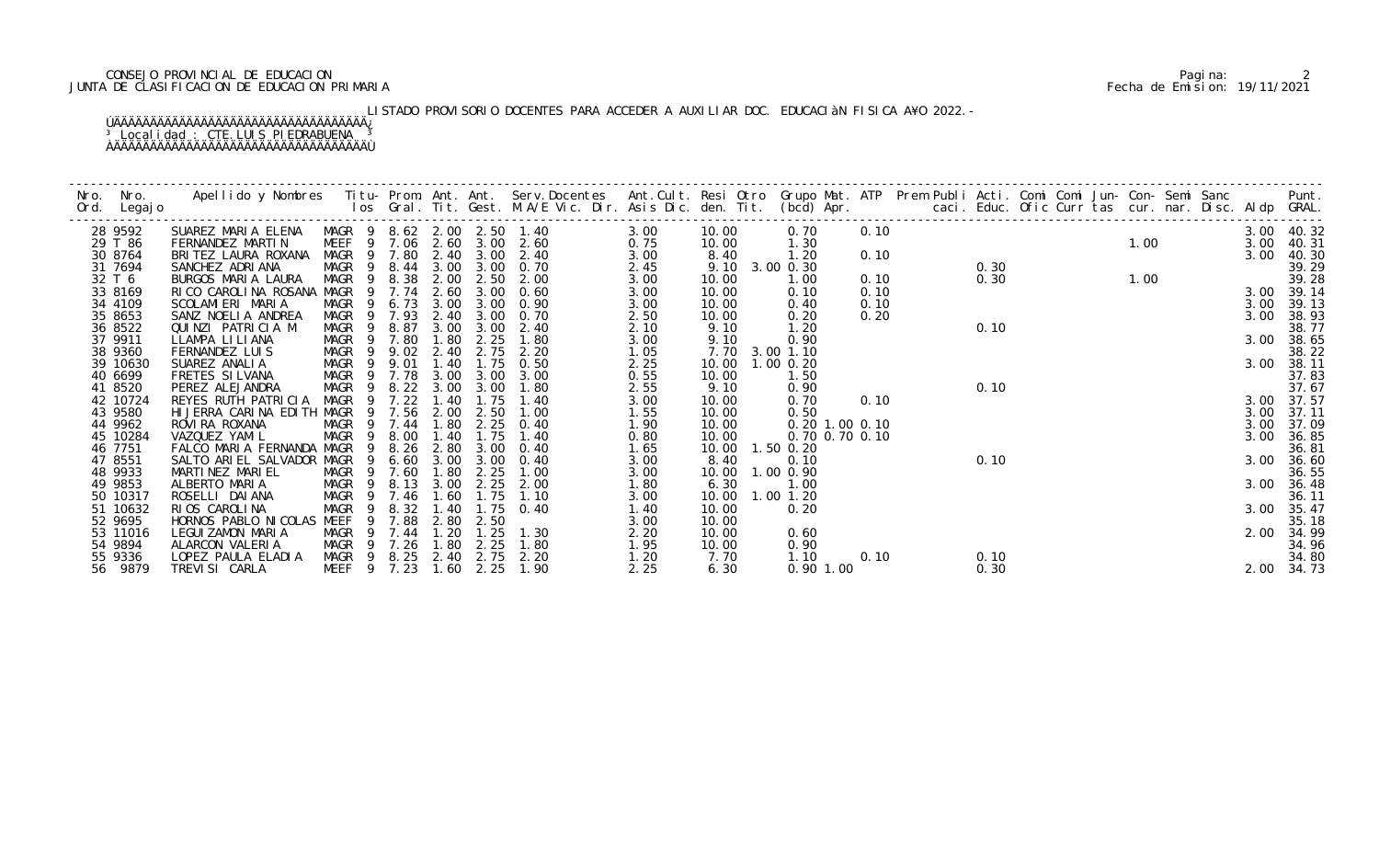## CONSEJO PROVINCIAL DE EDUCACION Pagina: 2 JUNTA DE CLASIFICACION DE EDUCACION PRIMARIA Fecha de Emision: 19/11/2021

# LISTADO PROVISORIO DOCENTES PARA ACCEDER A AUXILIAR DOC. EDUCACIàN FISICA A¥O 2022.-

| Nro. | Nro.<br>Ord. Legajo | Apellido y Nombres - Titu- Prom. Ant. Ant. Serv.Docentes - Ant.Cult. Resi Otro Grupo Mat. ATP Prem Publi Acti. Comi Comi Jun- Con- Semi Sanc - - Punt.<br>Ios Gral. Tit. Gest. M.A/E Vic. Dir. Asis Dic. den. Tit. (bcd) Apr. - - |                       |     |           |              |                       |                                                          |              |                |                   |      |  |                                                             |  |  |  |      |                     |
|------|---------------------|-----------------------------------------------------------------------------------------------------------------------------------------------------------------------------------------------------------------------------------|-----------------------|-----|-----------|--------------|-----------------------|----------------------------------------------------------|--------------|----------------|-------------------|------|--|-------------------------------------------------------------|--|--|--|------|---------------------|
|      | 28 9592             | SUAREZ MARIA ELENA                                                                                                                                                                                                                |                       |     |           |              |                       | MAGR 9 8.62 2.00 2.50 1.40                               | 3.00         | 10.00          | 0.70              | 0.10 |  |                                                             |  |  |  |      | 3.00 40.32          |
|      | 29 T 86             | FERNANDEZ MARTIN                                                                                                                                                                                                                  |                       |     |           |              |                       | MEEF 9 7.06 2.60 3.00 2.60                               | 0.75         | 10.00          | 1.30              |      |  | 0. 10<br>0. 10<br>0. 30<br>0. 30<br>0. 30<br>0. 30<br>0. 30 |  |  |  | 3.00 | 40.31               |
|      | 30 8764             | BRITEZ LAURA ROXANA                                                                                                                                                                                                               |                       |     |           |              |                       | MAGR 9 7.80 2.40 3.00 2.40                               | 3.00         | 8.40           | 1.20              |      |  |                                                             |  |  |  | 3.00 | 40.30               |
|      | 31 7694             | SANCHEZ ADRIANA<br>BURGOS MARIA LAURA                                                                                                                                                                                             |                       |     |           |              |                       | MAGR 9 8.44 3.00 3.00 0.70<br>MAGR 9 8.38 2.00 2.50 2.00 | 2.45         |                | 9.10 3.00 0.30    |      |  |                                                             |  |  |  |      | 39.29               |
|      | 32 T 6<br>33 8169   | RICO CAROLINA ROSANA MAGR 9 7.74                                                                                                                                                                                                  |                       |     |           | 2.60         | 3.00                  | 0.60                                                     | 3.00<br>3.00 | 10.00<br>10.00 | 1.00<br>0.10      | 0.10 |  |                                                             |  |  |  |      | 39.28<br>3.00 39.14 |
|      | 34 4109             | SCOLAMI ERI MARIA                                                                                                                                                                                                                 |                       |     |           |              |                       | MAGR 9 6.73 3.00 3.00 0.90                               | 3.00         | 10.00          | 0.40              | 0.10 |  |                                                             |  |  |  | 3.00 | 39.13               |
|      | 35 8653             | SANZ NOELIA ANDREA                                                                                                                                                                                                                | MAGR 9 7.93           |     |           |              | 2.40 3.00             | 0. 70                                                    | 2.50         | 10.00          | 0.20              | 0.20 |  |                                                             |  |  |  | 3.00 | 38.93               |
|      | 36 8522             | QUINZI PATRICIA M                                                                                                                                                                                                                 | MAGR                  | - 9 | 8.87      |              |                       | 3.00 3.00 2.40                                           | 2.10         | 9.10           | 1.20              |      |  | 0.10                                                        |  |  |  |      | 38.77               |
|      | 37 9911             | LLAMPA LI LI ANA                                                                                                                                                                                                                  | MAGR 9                |     | 7.80      | 1.80         | 2.25                  | 1.80                                                     | 3.00         | 9.10           | 0.90              |      |  |                                                             |  |  |  | 3.00 | 38.65               |
|      | 38 9360             | FERNANDEZ LUIS                                                                                                                                                                                                                    | MAGR 9 9.02           |     |           | 2.40         |                       | 2.75 2.20                                                | 1.05         |                | 7.70 3.00 1.10    |      |  |                                                             |  |  |  |      | 38.22               |
|      | 39 10630            | SUAREZ ANALIA                                                                                                                                                                                                                     | MAGR 9 9.01           |     |           | 1.40         | 1.75                  | 0. 50                                                    | 2.25         |                | 10.00  1.00  0.20 |      |  |                                                             |  |  |  | 3.00 | 38.11               |
|      | 40 6699             | FRETES SILVANA                                                                                                                                                                                                                    | MAGR 9 7.78           |     |           |              |                       | 3.00 3.00 3.00                                           | 0.55         | 10.00          | 1.50              |      |  |                                                             |  |  |  |      | 37.83               |
|      | 41 8520             | PEREZ ALEJANDRA                                                                                                                                                                                                                   | MAGR 9                |     | 8.22 3.00 |              | 3.00                  | 1.80                                                     | 2.55         | 9.10           | 0.90              |      |  | 0.10                                                        |  |  |  |      | 37.67               |
|      | 42 10724            | REYES RUTH PATRICIA                                                                                                                                                                                                               | MAGR 9                |     | 7.22      | 1.40         | 1.75                  | 1.40                                                     | 3.00         | 10.00          | 0.70              | 0.10 |  |                                                             |  |  |  |      | 3.00 37.57          |
|      | 43 9580             | HIJERRA CARINA EDITH MAGR 9 7.56                                                                                                                                                                                                  |                       |     |           | 2.00         | 2.50                  | 1.00                                                     | 1.55         | 10.00          | 0.50              |      |  |                                                             |  |  |  |      | 3.00 37.11          |
|      | 44 9962             | ROVIRA ROXANA                                                                                                                                                                                                                     |                       |     |           |              |                       | MAGR 9 7.44 1.80 2.25 0.40                               | 1.90         | 10.00          | 0.20 1.00 0.10    |      |  |                                                             |  |  |  | 3.00 | 37.09               |
|      | 45 10284            | VAZQUEZ YAMIL                                                                                                                                                                                                                     | MAGR <sub>9</sub>     |     | 8.00      | 1.40         | 1.75                  | 1.40                                                     | 0.80         | 10.00          | 0.70 0.70 0.10    |      |  |                                                             |  |  |  | 3.00 | 36.85               |
|      | 46 7751             | FALCO MARIA FERNANDA MAGR                                                                                                                                                                                                         |                       | - 9 | 8. 26     | 2.80         |                       | $3.00 \quad 0.40$                                        | 1.65         | 10.00          | $1.50$ 0.20       |      |  |                                                             |  |  |  |      | 36.81               |
|      | 47 8551             | SALTO ARIEL SALVADOR MAGR 9 6.60                                                                                                                                                                                                  |                       |     |           |              |                       | 3.00 3.00 0.40<br>1.00                                   | 3.00         | 8.40           | 0.10              |      |  | 0.10                                                        |  |  |  | 3.00 | 36.60               |
|      | 48 9933<br>49 9853  | MARTINEZ MARIEL<br>ALBERTO MARIA                                                                                                                                                                                                  | MAGR 9 7.60<br>MAGR 9 |     | 8.13      | 1.80<br>3.00 | 2.25<br>2.25          | 2.00                                                     | 3.00<br>1.80 | 10.00<br>6.30  | 1.00 0.90<br>1.00 |      |  |                                                             |  |  |  |      | 36.55<br>3.00 36.48 |
|      | 50 10317            | ROSELLI DAI ANA                                                                                                                                                                                                                   | MAGR 9 7.46           |     |           | 1.60         | 1.75                  | 1.10                                                     | 3.00         |                | 10.00  1.00  1.20 |      |  |                                                             |  |  |  |      | 36.11               |
|      | 51 10632            | RIOS CAROLINA                                                                                                                                                                                                                     | MAGR                  |     | 9 8.32    | 1.40         | 1.75                  | 0.40                                                     | 1.40         | 10.00          | 0.20              |      |  |                                                             |  |  |  | 3.00 | 35.47               |
|      | 52 9695             | HORNOS PABLO NI COLAS MEEF                                                                                                                                                                                                        |                       | 9   | 7.88      | 2.80         | 2.50                  |                                                          | 3.00         | 10.00          |                   |      |  |                                                             |  |  |  |      | 35.18               |
|      | 53 11016            | LEGUI ZAMON MARIA                                                                                                                                                                                                                 | MAGR                  |     | 7.44      | 1.20         | 1.25                  | 1.30                                                     | 2.20         | 10.00          | 0.60              |      |  |                                                             |  |  |  | 2.00 | 34.99               |
|      | 54 9894             | ALARCON VALERIA                                                                                                                                                                                                                   | MAGR 9 7.26           |     |           | 1.80         | 2.25                  | 1.80                                                     | 1.95         | 10.00          | 0.90              |      |  |                                                             |  |  |  |      | 34.96               |
|      | 55 9336             | LOPEZ PAULA ELADIA                                                                                                                                                                                                                |                       |     |           |              | MAGR 9 8.25 2.40 2.75 | 2.20                                                     | 1.20         | 7.70           | 1.10              | 0.10 |  | 0.10                                                        |  |  |  |      | 34.80               |
|      | 56 9879             | TREVISI CARLA                                                                                                                                                                                                                     | MEEF 9 7.23           |     |           |              |                       | 1.60 2.25 1.90                                           | 2.25         | 6.30           | $0.90$ 1.00       |      |  | 0.30                                                        |  |  |  |      | 2.00 34.73          |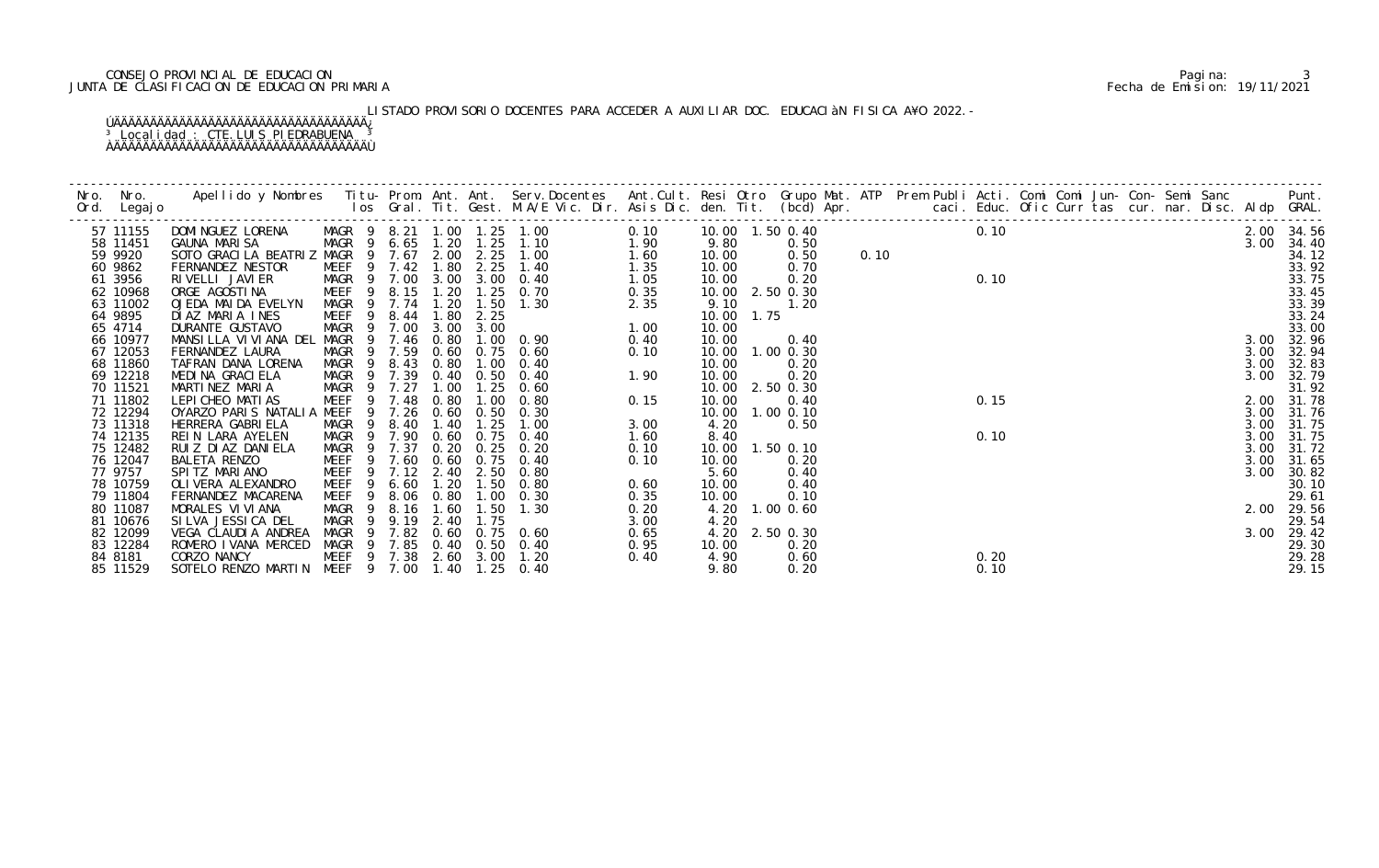## CONSEJO PROVINCIAL DE EDUCACION Pagina: 3 JUNTA DE CLASIFICACION DE EDUCACION PRIMARIA Fecha de Emision: 19/11/2021

# LISTADO PROVISORIO DOCENTES PARA ACCEDER A AUXILIAR DOC. EDUCACIàN FISICA A¥O 2022.-

|                      |                                                                                        |                            |                |              |      |                              |                                                                                                |              | $\begin{array}{cccccccccccc} \textbf{r}_{\text{GUT}} & \textbf{r}_{\text{GUT}} & \textbf{r}_{\text{GUT}} & \textbf{r}_{\text{GUT}} & \textbf{r}_{\text{GUT}} & \textbf{r}_{\text{GUT}} & \textbf{r}_{\text{GUT}} & \textbf{r}_{\text{GUT}} & \textbf{r}_{\text{GUT}} & \textbf{r}_{\text{GUT}} & \textbf{r}_{\text{GUT}} & \textbf{r}_{\text{GUT}} & \textbf{r}_{\text{GUT}} & \textbf{r}_{\text{GUT}} & \textbf{r}_{\text{GUT}} & \textbf{r}_{\text{GUT}} & \textbf$ |                |  |  |      |  |  |  |      |                     |
|----------------------|----------------------------------------------------------------------------------------|----------------------------|----------------|--------------|------|------------------------------|------------------------------------------------------------------------------------------------|--------------|-----------------------------------------------------------------------------------------------------------------------------------------------------------------------------------------------------------------------------------------------------------------------------------------------------------------------------------------------------------------------------------------------------------------------------------------------------------------------|----------------|--|--|------|--|--|--|------|---------------------|
| 57 11155             | DOMINGUEZ LORENA MAGR 9 8.21 1.00 1.25 1.00<br>GAUNA MARISA MAGR 9 6.65 1.20 1.25 1.10 |                            |                |              |      |                              |                                                                                                |              |                                                                                                                                                                                                                                                                                                                                                                                                                                                                       |                |  |  |      |  |  |  |      | 2.00 34.56          |
| 58 11451             |                                                                                        |                            |                |              |      |                              |                                                                                                |              |                                                                                                                                                                                                                                                                                                                                                                                                                                                                       |                |  |  |      |  |  |  |      | 34.40               |
| 59 9920              | SOTO GRACILA BEATRIZ MAGR 9 7.67 2.00 2.25 1.00                                        |                            |                |              |      |                              |                                                                                                |              |                                                                                                                                                                                                                                                                                                                                                                                                                                                                       |                |  |  |      |  |  |  |      | 34.12               |
| 60 9862              | FERNANDEZ NESTOR                                                                       | MEEF 9 7.42                |                |              | 1.80 |                              | $2.25$ 1.40                                                                                    | 1.35         |                                                                                                                                                                                                                                                                                                                                                                                                                                                                       |                |  |  |      |  |  |  |      | 33.92               |
| 61 3956              | RIVELLI JAVIER                                                                         | MAGR 9 7.00 3.00 3.00 0.40 |                |              |      |                              |                                                                                                | 1.05         |                                                                                                                                                                                                                                                                                                                                                                                                                                                                       |                |  |  |      |  |  |  |      | 33.75               |
| 62 10968             | ORGE AGOSTINA                                                                          | MEEF                       | 9              | 8.15         | 1.20 | 1.25                         | 0. 70                                                                                          | 0.35         |                                                                                                                                                                                                                                                                                                                                                                                                                                                                       |                |  |  |      |  |  |  |      | 33.45               |
| 63 11002             | OJEDA MAIDA EVELYN                                                                     | MAGR 9 7.74                |                |              | 1.20 |                              | $\begin{array}{ccc} 2.35 \\ 1.30 \\ 2.35 \end{array}$<br>2.35<br>2.35<br>2.40<br>$1.50$ $1.30$ |              |                                                                                                                                                                                                                                                                                                                                                                                                                                                                       |                |  |  |      |  |  |  |      | 33.39               |
| 64 9895              | DIAZ MARIA INES                                                                        | MEEF <sub>9</sub>          |                | 8.44         | 1.80 | 2.25                         |                                                                                                |              |                                                                                                                                                                                                                                                                                                                                                                                                                                                                       |                |  |  |      |  |  |  |      | 33.24               |
| 65 4714              | DURANTE GUSTAVO                                                                        | MAGR 9 7.00 3.00 3.00      |                |              |      |                              |                                                                                                |              |                                                                                                                                                                                                                                                                                                                                                                                                                                                                       |                |  |  |      |  |  |  |      | 33.00               |
| 66 10977             | MANSILLA VIVIANA DEL MAGR                                                              |                            | $\overline{9}$ | 7.46         | 0.80 |                              | $1.00 \quad 0.90$                                                                              |              |                                                                                                                                                                                                                                                                                                                                                                                                                                                                       |                |  |  |      |  |  |  |      | 3.00 32.96          |
| 67 12053             | FERNANDEZ LAURA                                                                        | MAGR                       |                | 9 7.59       |      |                              | 0.60 0.75 0.60                                                                                 | 0.10         |                                                                                                                                                                                                                                                                                                                                                                                                                                                                       |                |  |  |      |  |  |  |      | 32.94               |
| 68 11860             | TAFRAN DANA LORENA                                                                     | MAGR 9 8.43                |                |              | 0.80 | 1.00                         | 0.40                                                                                           |              |                                                                                                                                                                                                                                                                                                                                                                                                                                                                       |                |  |  |      |  |  |  |      | 32.83               |
| 69 12218             | MEDINA GRACIELA                                                                        | MAGR 9 7.39                |                |              |      | $0.40 \quad 0.50 \quad 0.40$ |                                                                                                | 1.90         |                                                                                                                                                                                                                                                                                                                                                                                                                                                                       |                |  |  |      |  |  |  |      | 32.79               |
| 70 11521             | MARTINEZ MARIA                                                                         | MAGR 9                     | 9              | 7.27         | 1.00 | 1.25<br>1.00                 | 0.60                                                                                           |              |                                                                                                                                                                                                                                                                                                                                                                                                                                                                       |                |  |  |      |  |  |  |      | 31.92               |
| 71 11802             | LEPI CHEO MATI AS                                                                      | MEEF                       |                | 7.48         | 0.80 |                              | 0.80                                                                                           | 0.15         |                                                                                                                                                                                                                                                                                                                                                                                                                                                                       |                |  |  |      |  |  |  |      | 2.00 31.78          |
| 72 12294<br>73 11318 | OYARZO PARIS NATALIA MEEF 9                                                            |                            | - 9            | 7.26         | 1.40 | $0.60$ $0.50$ $0.30$<br>1.25 | 1.00                                                                                           |              |                                                                                                                                                                                                                                                                                                                                                                                                                                                                       |                |  |  |      |  |  |  |      | 3.00 31.76<br>31.75 |
| 74 12135             | HERRERA GABRI ELA<br>REIN LARA AYELEN                                                  | MAGR<br>MAGR 9             |                | 8.40<br>7.90 | 0.60 | 0.75                         | 0.40                                                                                           | 3.00<br>1.60 |                                                                                                                                                                                                                                                                                                                                                                                                                                                                       |                |  |  |      |  |  |  |      | 31.75               |
| 75 12482             | RUIZ DIAZ DANIELA                                                                      | MAGR 9 7.37                |                |              |      |                              | $0.20 \quad 0.25 \quad 0.20$                                                                   | 0.10         |                                                                                                                                                                                                                                                                                                                                                                                                                                                                       |                |  |  |      |  |  |  |      | 31.72               |
| 76 12047             | BALETA RENZO                                                                           | MEEF 9 7.60 0.60 0.75 0.40 |                |              |      |                              |                                                                                                | 0.10         |                                                                                                                                                                                                                                                                                                                                                                                                                                                                       |                |  |  |      |  |  |  |      | 31.65               |
| 77 9757              | SPITZ MARIANO                                                                          | MEEF 9 7.12 2.40 2.50 0.80 |                |              |      |                              |                                                                                                |              |                                                                                                                                                                                                                                                                                                                                                                                                                                                                       |                |  |  |      |  |  |  |      | 30.82               |
| 78 10759             | OLI VERA ALEXANDRO                                                                     | MEEF                       | - 9            | 6.60         | 1.20 |                              | $1.50 \quad 0.80$                                                                              | 0.60         |                                                                                                                                                                                                                                                                                                                                                                                                                                                                       |                |  |  |      |  |  |  |      | 30.10               |
| 79 11804             | FERNANDEZ MACARENA                                                                     | MEEF                       |                | 8.06 0.80    |      |                              | $1.00 \t 0.30$                                                                                 | 0.35         |                                                                                                                                                                                                                                                                                                                                                                                                                                                                       |                |  |  |      |  |  |  |      | 29.61               |
| 80 11087             | MORALES VI VI ANA                                                                      | MAGR                       |                | 9 8.16       | 1.60 | 1.50                         | 1.30                                                                                           | 0.20         |                                                                                                                                                                                                                                                                                                                                                                                                                                                                       |                |  |  |      |  |  |  |      | 2.00 29.56          |
| 81 10676             | SILVA JESSICA DEL                                                                      | MAGR 9 9.19                |                |              | 2.40 | 1.75                         |                                                                                                | 3.00         | 4.20                                                                                                                                                                                                                                                                                                                                                                                                                                                                  |                |  |  |      |  |  |  |      | 29.54               |
| 82 12099             | VEGA CLAUDIA ANDREA                                                                    | MAGR                       | $\overline{9}$ |              |      |                              | 7.82 0.60 0.75 0.60                                                                            | 0.65         |                                                                                                                                                                                                                                                                                                                                                                                                                                                                       | 4.20 2.50 0.30 |  |  |      |  |  |  | 3.00 | 29.42               |
| 83 12284             | ROMERO I VANA MERCED                                                                   | MAGR 9 7.85 0.40 0.50 0.40 |                |              |      |                              |                                                                                                | 0.95         | 10.00                                                                                                                                                                                                                                                                                                                                                                                                                                                                 | 0.20           |  |  |      |  |  |  |      | 29.30               |
| 84 8181              | CORZO NANCY                                                                            | MEEF 9 7.38 2.60 3.00 1.20 |                |              |      |                              |                                                                                                | 0.40         | 4.90                                                                                                                                                                                                                                                                                                                                                                                                                                                                  | 0.60           |  |  | 0.20 |  |  |  |      | 29.28               |
| 85 11529             | SOTELO RENZO MARTIN MEEF 9 7.00                                                        |                            |                |              |      | 1.40 1.25 0.40               |                                                                                                |              | 9.80                                                                                                                                                                                                                                                                                                                                                                                                                                                                  | 0.20           |  |  | 0.10 |  |  |  |      | 29.15               |
|                      |                                                                                        |                            |                |              |      |                              |                                                                                                |              |                                                                                                                                                                                                                                                                                                                                                                                                                                                                       |                |  |  |      |  |  |  |      |                     |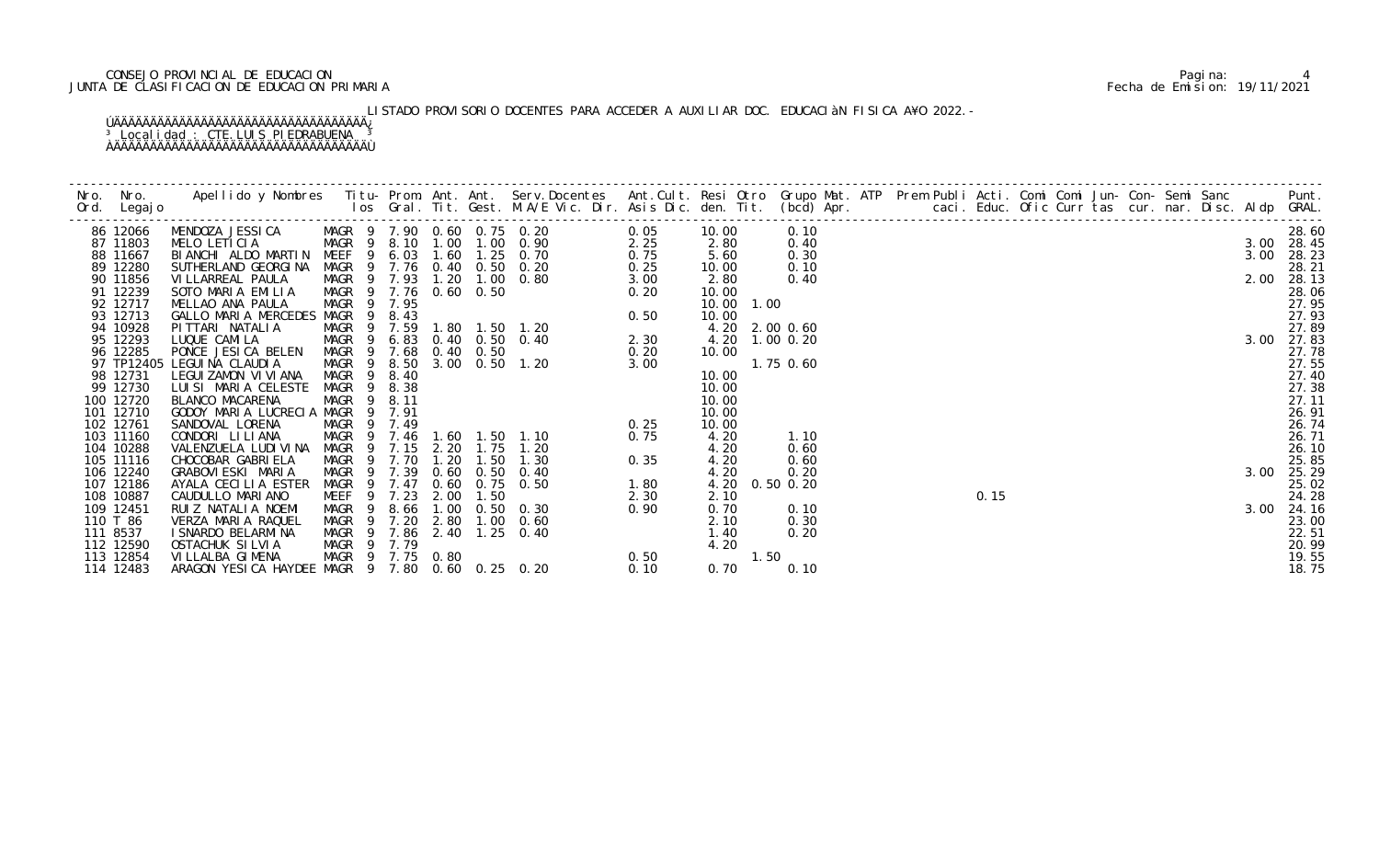## CONSEJO PROVINCIAL DE EDUCACION Pagina: 4 JUNTA DE CLASIFICACION DE EDUCACION PRIMARIA Fecha de Emision: 19/11/2021

# LISTADO PROVISORIO DOCENTES PARA ACCEDER A AUXILIAR DOC. EDUCACIàN FISICA A¥O 2022.-

| 86 12066               | MENDOZA JESSICA MAGR 9 7.90 0.60 0.75 0.20<br>MELO LETICIA MAGR 9 8.10 1.00 1.00 0.90 |             |                |        |      |      | MAGR 9 7.90 0.60 0.75 0.20 0.25<br>MAGR 9 7.90 0.60 0.75 0.20 0.05<br>MEEF 9 6.03 1.00 1.00 0.90 2.25<br>MEEF 9 6.03 1.60 1.05 0.20 0.25<br>MAGR 9 7.76 0.40 0.50 0.20 0.25<br>MAGR 9 7.76 0.60 0.50 0.20<br>MAGR 9 7.59 1.80 1.50 1.20 0. |      | 10.00          |               | 0.10         |  |  | $0.15$<br>3. 0.15 |  |  |  |      | 28.60               |
|------------------------|---------------------------------------------------------------------------------------|-------------|----------------|--------|------|------|--------------------------------------------------------------------------------------------------------------------------------------------------------------------------------------------------------------------------------------------|------|----------------|---------------|--------------|--|--|-------------------|--|--|--|------|---------------------|
| 87 11803<br>88 11667   | BIANCHI ALDO MARTIN                                                                   |             |                |        |      |      |                                                                                                                                                                                                                                            |      | 2.80<br>5.60   |               | 0.40<br>0.30 |  |  |                   |  |  |  | 3.00 | 3.00 28.45<br>28.23 |
| 89 12280               | SUTHERLAND GEORGINA                                                                   |             |                |        |      |      |                                                                                                                                                                                                                                            |      | 10.00          |               | 0.10         |  |  |                   |  |  |  |      | 28.21               |
| 90 11856               | VI LLARREAL PAULA                                                                     |             |                |        |      |      |                                                                                                                                                                                                                                            |      | 2.80           |               | 0.40         |  |  |                   |  |  |  | 2.00 | 28.13               |
| 91 12239               | SOTO MARIA EMILIA                                                                     |             |                |        |      |      |                                                                                                                                                                                                                                            |      | 10.00          |               |              |  |  |                   |  |  |  |      | 28.06               |
| 92 12717               | MELLAO ANA PAULA                                                                      |             |                |        |      |      |                                                                                                                                                                                                                                            |      | 10.00 1.00     |               |              |  |  |                   |  |  |  |      | 27.95               |
| 93 12713               | GALLO MARIA MERCEDES MAGR 9 8.43                                                      |             |                |        |      |      |                                                                                                                                                                                                                                            |      | 10.00          |               |              |  |  |                   |  |  |  |      | 27.93               |
| 94 10928               | PITTARI NATALIA                                                                       |             |                |        |      |      |                                                                                                                                                                                                                                            |      | 4.20 2.00 0.60 |               |              |  |  |                   |  |  |  |      | 27.89               |
| 95 12293               | LUQUE CAMI LA                                                                         |             |                |        |      |      |                                                                                                                                                                                                                                            |      | 4.20 1.00 0.20 |               |              |  |  |                   |  |  |  |      | 3.00 27.83          |
| 96 12285               | PONCE JESICA BELEN                                                                    |             |                |        |      |      |                                                                                                                                                                                                                                            |      | 10.00          |               |              |  |  |                   |  |  |  |      | 27.78               |
|                        | 97 TP12405 LEGUINA CLAUDIA                                                            |             |                |        |      |      |                                                                                                                                                                                                                                            |      |                | 1.75 0.60     |              |  |  |                   |  |  |  |      | 27.55               |
| 98 12731               | LEGUI ZAMON VI VI ANA                                                                 |             |                |        |      |      |                                                                                                                                                                                                                                            |      | 10.00          |               |              |  |  |                   |  |  |  |      | 27.40               |
| 99 12730               | LUISI MARIA CELESTE                                                                   |             |                |        |      |      |                                                                                                                                                                                                                                            |      | 10.00          |               |              |  |  |                   |  |  |  |      | 27.38               |
| 100 12720              | BLANCO MACARENA                                                                       |             |                |        |      |      |                                                                                                                                                                                                                                            |      | 10.00          |               |              |  |  |                   |  |  |  |      | 27.11               |
| 101 12710<br>102 12761 | GODOY MARIA LUCRECIA MAGR 9 7.91                                                      |             |                |        |      |      |                                                                                                                                                                                                                                            |      | 10.00          |               |              |  |  |                   |  |  |  |      | 26.91               |
| 103 11160              | SANDOVAL LORENA<br>CONDORI LI LI ANA                                                  |             |                |        |      |      |                                                                                                                                                                                                                                            |      | 10.00<br>4.20  |               | 1.10         |  |  |                   |  |  |  |      | 26.74<br>26.71      |
| 104 10288              | VALENZUELA LUDI VI NA                                                                 | MAGR        | $\overline{9}$ | 7.15   |      |      | 2.20 1.75 1.20                                                                                                                                                                                                                             |      | 4.20           |               | 0.60         |  |  |                   |  |  |  |      | 26.10               |
| 105 11116              | CHOCOBAR GABRIELA                                                                     | MAGR        | $\overline{9}$ | 7.70   | 1.20 | 1.50 | 1.30                                                                                                                                                                                                                                       | 0.35 | 4.20           |               | 0.60         |  |  |                   |  |  |  |      | 25.85               |
| 106 12240              | GRABOVI ESKI MARIA                                                                    | MAGR 9 7.39 |                |        |      |      | $0.60$ $0.50$ $0.40$                                                                                                                                                                                                                       |      | 4.20           |               | 0.20         |  |  |                   |  |  |  | 3.00 | 25.29               |
| 107 12186              | AYALA CECILIA ESTER                                                                   | MAGR        |                | 9 7.47 |      |      | 0.60 0.75 0.50<br>1.80                                                                                                                                                                                                                     |      | 4.20           | $0.50$ $0.20$ |              |  |  |                   |  |  |  |      | 25.02               |
| 108 10887              | CAUDULLO MARIANO                                                                      | MEEF        |                | 9 7.23 | 2.00 | 1.50 |                                                                                                                                                                                                                                            |      | 2.10           |               |              |  |  |                   |  |  |  |      | 24.28               |
| 109 12451              | RUIZ NATALIA NOEMI                                                                    |             |                |        |      |      | $\begin{array}{c} 1.66 \\ 2.30 \\ 0.05 \end{array}$                                                                                                                                                                                        |      | 0.70           |               | 0.10         |  |  |                   |  |  |  | 3.00 | 24.16               |
| 110 T 86               | VERZA MARIA RAQUEL                                                                    |             |                |        |      |      |                                                                                                                                                                                                                                            |      | 2.10           |               | 0.30         |  |  |                   |  |  |  |      | 23.00               |
| 111 8537               | I SNARDO BELARMI NA                                                                   |             |                |        |      |      |                                                                                                                                                                                                                                            |      | 1.40           |               | 0.20         |  |  |                   |  |  |  |      | 22.51               |
| 112 12590              | OSTACHUK SILVIA                                                                       |             |                |        |      |      |                                                                                                                                                                                                                                            |      | 4.20           |               |              |  |  |                   |  |  |  |      | 20.99               |
| 113 12854              | VI LLALBA GI MENA                                                                     |             |                |        |      |      |                                                                                                                                                                                                                                            |      |                | 1.50          |              |  |  |                   |  |  |  |      | 19.55               |
| 114 12483              | ARAGON YESICA HAYDEE MAGR 9 7.80                                                      |             |                |        |      |      | $0.90$<br>$0.90$<br>$0.90$<br>MAGR 9 7.79<br>MAGR 9 7.75 0.80<br>$P$ 9 7.80 0.60 0.25 0.20                                                                                                                                                 |      | 0.70           |               | 0.10         |  |  |                   |  |  |  |      | 18.75               |